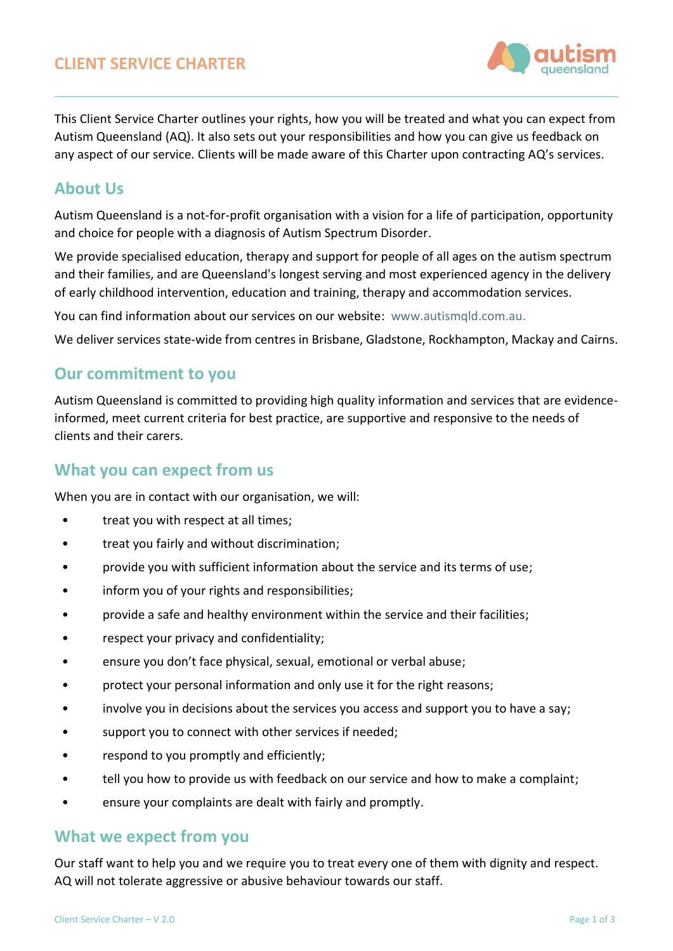

This Client Service Charter outlines your rights, how you will be treated and what you can expect from Autism Queensland (AQ). It also sets out your responsibilities and how you can give us feedback on any aspect of our service. Clients will be made aware of this Charter upon contracting AQ's services.

#### **About Us**

Autism Queensland is a not-for-profit organisation with a vision for a life of participation, opportunity and choice for people with a diagnosis of Autism Spectrum Disorder.

We provide specialised education, therapy and support for people of all ages on the autism spectrum and their families, and are Queensland's longest serving and most experienced agency in the delivery of early childhood intervention, education and training, therapy and accommodation services.

You can find information about our services on our website: [www.autismqld.com.au.](file://///10.0.0.16/CorpData/Quality/MASTERS%20-%20AQQA%20External%20Documents/www.autismqld.com.au)

We deliver services state-wide from centres in Brisbane, Gladstone, Rockhampton, Mackay and Cairns.

#### **Our commitment to you**

Autism Queensland is committed to providing high quality information and services that are evidenceinformed, meet current criteria for best practice, are supportive and responsive to the needs of clients and their carers.

# **What you can expect from us**

When you are in contact with our organisation, we will:

- treat you with respect at all times;
- treat you fairly and without discrimination;
- provide you with sufficient information about the service and its terms of use;
- inform you of your rights and responsibilities;
- provide a safe and healthy environment within the service and their facilities;
- respect your privacy and confidentiality;
- ensure you don't face physical, sexual, emotional or verbal abuse;
- protect your personal information and only use it for the right reasons;
- involve you in decisions about the services you access and support you to have a say;
- support you to connect with other services if needed;
- respond to you promptly and efficiently;
- tell you how to provide us with feedback on our service and how to make a complaint;
- ensure your complaints are dealt with fairly and promptly.

#### **What we expect from you**

Our staff want to help you and we require you to treat every one of them with dignity and respect. AQ will not tolerate aggressive or abusive behaviour towards our staff.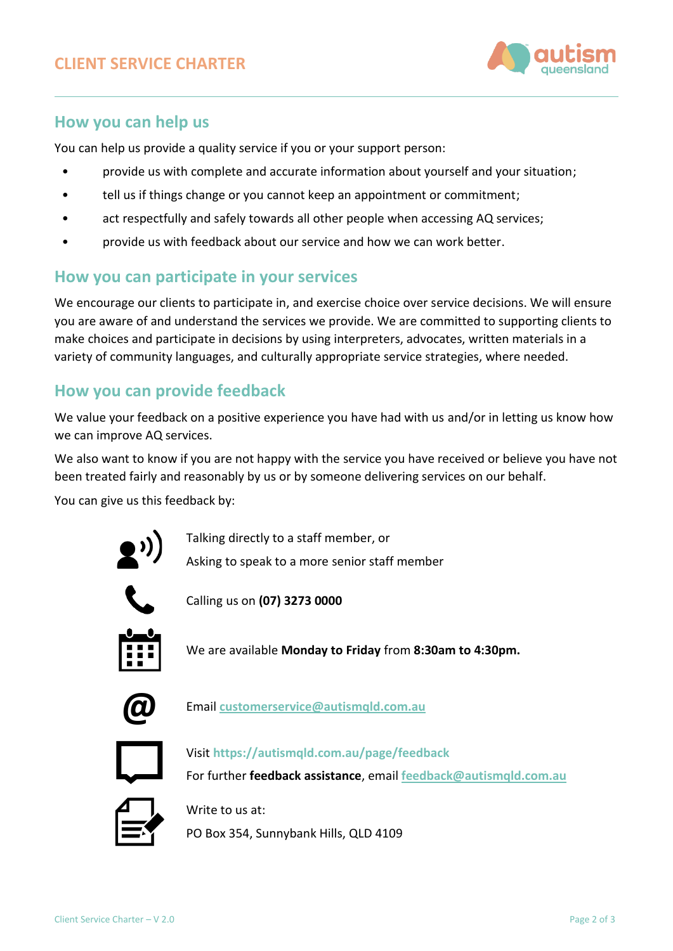

# **How you can help us**

You can help us provide a quality service if you or your support person:

- provide us with complete and accurate information about yourself and your situation;
- tell us if things change or you cannot keep an appointment or commitment;
- act respectfully and safely towards all other people when accessing AQ services;
- provide us with feedback about our service and how we can work better.

### **How you can participate in your services**

We encourage our clients to participate in, and exercise choice over service decisions. We will ensure you are aware of and understand the services we provide. We are committed to supporting clients to make choices and participate in decisions by using interpreters, advocates, written materials in a variety of community languages, and culturally appropriate service strategies, where needed.

# **How you can provide feedback**

We value your feedback on a positive experience you have had with us and/or in letting us know how we can improve AQ services.

We also want to know if you are not happy with the service you have received or believe you have not been treated fairly and reasonably by us or by someone delivering services on our behalf.

You can give us this feedback by:



Talking directly to a staff member, or Asking to speak to a more senior staff member



Calling us on **(07) 3273 0000**



We are available **Monday to Friday** from **8:30am to 4:30pm.**



**@** Email **[customerservice@autismqld.com.au](mailto:customerservice@autismqld.com.au)**



Visit **<https://autismqld.com.au/page/feedback>**

For further **feedback assistance**, email **[feedback@autismqld.com.au](mailto:feedback@autismqld.com.au)**



Write to us at: PO Box 354, Sunnybank Hills, QLD 4109